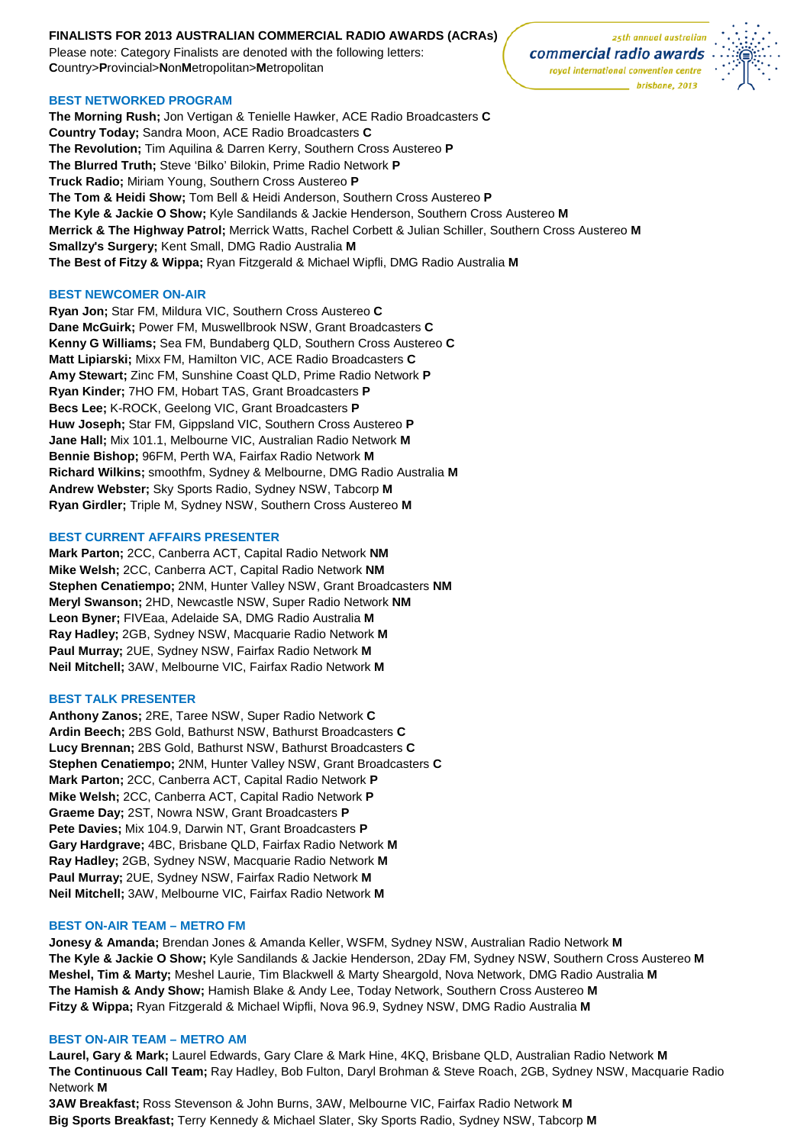## **FINALISTS FOR 2013 AUSTRALIAN COMMERCIAL RADIO AWARDS (ACRAs)**

Please note: Category Finalists are denoted with the following letters: **C**ountry>**P**rovincial>**N**on**M**etropolitan>**M**etropolitan

### **BEST NETWORKED PROGRAM**

**The Morning Rush;** Jon Vertigan & Tenielle Hawker, ACE Radio Broadcasters **C Country Today;** Sandra Moon, ACE Radio Broadcasters **C The Revolution;** Tim Aquilina & Darren Kerry, Southern Cross Austereo **P The Blurred Truth;** Steve 'Bilko' Bilokin, Prime Radio Network **P Truck Radio;** Miriam Young, Southern Cross Austereo **P The Tom & Heidi Show;** Tom Bell & Heidi Anderson, Southern Cross Austereo **P The Kyle & Jackie O Show;** Kyle Sandilands & Jackie Henderson, Southern Cross Austereo **M Merrick & The Highway Patrol;** Merrick Watts, Rachel Corbett & Julian Schiller, Southern Cross Austereo **M Smallzy's Surgery;** Kent Small, DMG Radio Australia **M The Best of Fitzy & Wippa;** Ryan Fitzgerald & Michael Wipfli, DMG Radio Australia **M**

### **BEST NEWCOMER ON-AIR**

**Ryan Jon;** Star FM, Mildura VIC, Southern Cross Austereo **C Dane McGuirk;** Power FM, Muswellbrook NSW, Grant Broadcasters **C Kenny G Williams;** Sea FM, Bundaberg QLD, Southern Cross Austereo **C Matt Lipiarski;** Mixx FM, Hamilton VIC, ACE Radio Broadcasters **C Amy Stewart;** Zinc FM, Sunshine Coast QLD, Prime Radio Network **P Ryan Kinder;** 7HO FM, Hobart TAS, Grant Broadcasters **P Becs Lee;** K-ROCK, Geelong VIC, Grant Broadcasters **P Huw Joseph;** Star FM, Gippsland VIC, Southern Cross Austereo **P Jane Hall;** Mix 101.1, Melbourne VIC, Australian Radio Network **M Bennie Bishop;** 96FM, Perth WA, Fairfax Radio Network **M Richard Wilkins;** smoothfm, Sydney & Melbourne, DMG Radio Australia **M Andrew Webster;** Sky Sports Radio, Sydney NSW, Tabcorp **M Ryan Girdler;** Triple M, Sydney NSW, Southern Cross Austereo **M**

### **BEST CURRENT AFFAIRS PRESENTER**

**Mark Parton;** 2CC, Canberra ACT, Capital Radio Network **NM Mike Welsh;** 2CC, Canberra ACT, Capital Radio Network **NM Stephen Cenatiempo;** 2NM, Hunter Valley NSW, Grant Broadcasters **NM Meryl Swanson;** 2HD, Newcastle NSW, Super Radio Network **NM Leon Byner;** FIVEaa, Adelaide SA, DMG Radio Australia **M Ray Hadley;** 2GB, Sydney NSW, Macquarie Radio Network **M Paul Murray;** 2UE, Sydney NSW, Fairfax Radio Network **M Neil Mitchell;** 3AW, Melbourne VIC, Fairfax Radio Network **M**

## **BEST TALK PRESENTER**

**Anthony Zanos;** 2RE, Taree NSW, Super Radio Network **C Ardin Beech;** 2BS Gold, Bathurst NSW, Bathurst Broadcasters **C Lucy Brennan;** 2BS Gold, Bathurst NSW, Bathurst Broadcasters **C Stephen Cenatiempo;** 2NM, Hunter Valley NSW, Grant Broadcasters **C Mark Parton;** 2CC, Canberra ACT, Capital Radio Network **P Mike Welsh;** 2CC, Canberra ACT, Capital Radio Network **P Graeme Day;** 2ST, Nowra NSW, Grant Broadcasters **P Pete Davies;** Mix 104.9, Darwin NT, Grant Broadcasters **P Gary Hardgrave;** 4BC, Brisbane QLD, Fairfax Radio Network **M Ray Hadley;** 2GB, Sydney NSW, Macquarie Radio Network **M Paul Murray;** 2UE, Sydney NSW, Fairfax Radio Network **M Neil Mitchell;** 3AW, Melbourne VIC, Fairfax Radio Network **M**

#### **BEST ON-AIR TEAM – METRO FM**

**Jonesy & Amanda;** Brendan Jones & Amanda Keller, WSFM, Sydney NSW, Australian Radio Network **M The Kyle & Jackie O Show;** Kyle Sandilands & Jackie Henderson, 2Day FM, Sydney NSW, Southern Cross Austereo **M Meshel, Tim & Marty;** Meshel Laurie, Tim Blackwell & Marty Sheargold, Nova Network, DMG Radio Australia **M The Hamish & Andy Show;** Hamish Blake & Andy Lee, Today Network, Southern Cross Austereo **M Fitzy & Wippa;** Ryan Fitzgerald & Michael Wipfli, Nova 96.9, Sydney NSW, DMG Radio Australia **M**

#### **BEST ON-AIR TEAM – METRO AM**

**Laurel, Gary & Mark;** Laurel Edwards, Gary Clare & Mark Hine, 4KQ, Brisbane QLD, Australian Radio Network **M The Continuous Call Team;** Ray Hadley, Bob Fulton, Daryl Brohman & Steve Roach, 2GB, Sydney NSW, Macquarie Radio Network **M**

**3AW Breakfast;** Ross Stevenson & John Burns, 3AW, Melbourne VIC, Fairfax Radio Network **M Big Sports Breakfast;** Terry Kennedy & Michael Slater, Sky Sports Radio, Sydney NSW, Tabcorp **M**

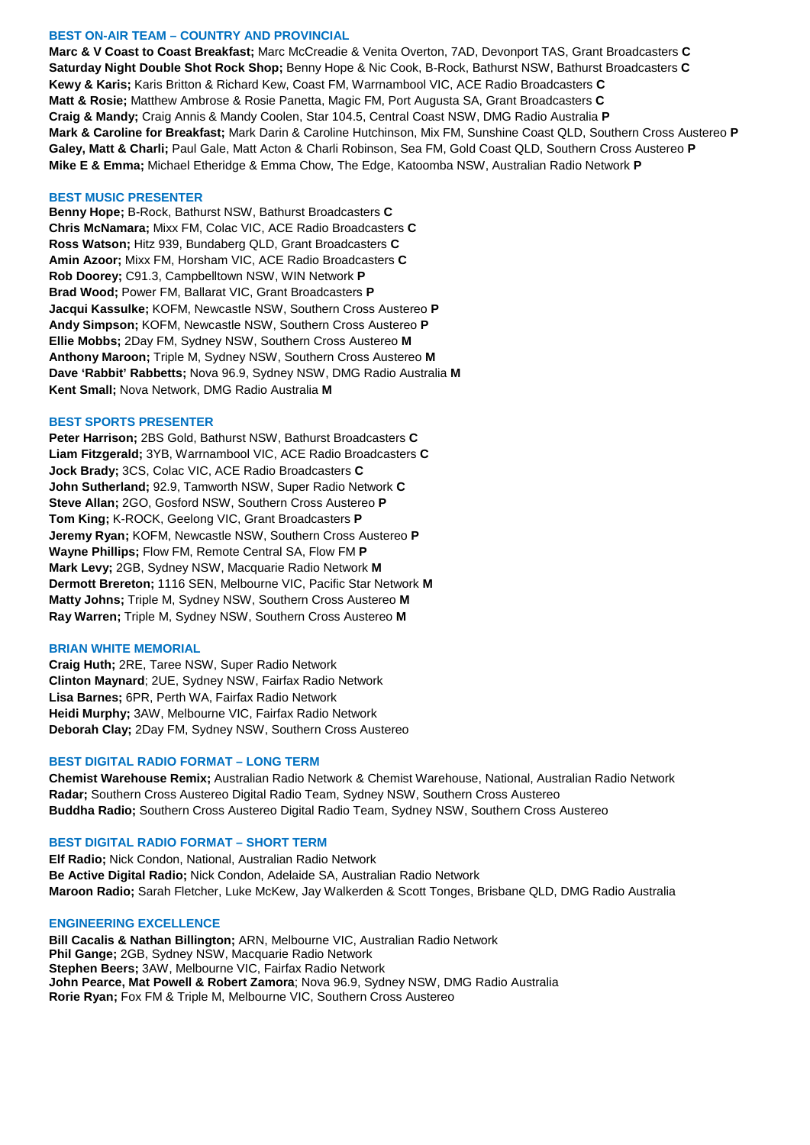### **BEST ON-AIR TEAM – COUNTRY AND PROVINCIAL**

**Marc & V Coast to Coast Breakfast;** Marc McCreadie & Venita Overton, 7AD, Devonport TAS, Grant Broadcasters **C Saturday Night Double Shot Rock Shop;** Benny Hope & Nic Cook, B-Rock, Bathurst NSW, Bathurst Broadcasters **C Kewy & Karis;** Karis Britton & Richard Kew, Coast FM, Warrnambool VIC, ACE Radio Broadcasters **C Matt & Rosie;** Matthew Ambrose & Rosie Panetta, Magic FM, Port Augusta SA, Grant Broadcasters **C Craig & Mandy;** Craig Annis & Mandy Coolen, Star 104.5, Central Coast NSW, DMG Radio Australia **P Mark & Caroline for Breakfast;** Mark Darin & Caroline Hutchinson, Mix FM, Sunshine Coast QLD, Southern Cross Austereo **P Galey, Matt & Charli;** Paul Gale, Matt Acton & Charli Robinson, Sea FM, Gold Coast QLD, Southern Cross Austereo **P Mike E & Emma;** Michael Etheridge & Emma Chow, The Edge, Katoomba NSW, Australian Radio Network **P**

#### **BEST MUSIC PRESENTER**

**Benny Hope;** B-Rock, Bathurst NSW, Bathurst Broadcasters **C Chris McNamara;** Mixx FM, Colac VIC, ACE Radio Broadcasters **C Ross Watson;** Hitz 939, Bundaberg QLD, Grant Broadcasters **C Amin Azoor;** Mixx FM, Horsham VIC, ACE Radio Broadcasters **C Rob Doorey;** C91.3, Campbelltown NSW, WIN Network **P Brad Wood;** Power FM, Ballarat VIC, Grant Broadcasters **P Jacqui Kassulke;** KOFM, Newcastle NSW, Southern Cross Austereo **P Andy Simpson;** KOFM, Newcastle NSW, Southern Cross Austereo **P Ellie Mobbs;** 2Day FM, Sydney NSW, Southern Cross Austereo **M Anthony Maroon;** Triple M, Sydney NSW, Southern Cross Austereo **M Dave 'Rabbit' Rabbetts;** Nova 96.9, Sydney NSW, DMG Radio Australia **M Kent Small;** Nova Network, DMG Radio Australia **M**

#### **BEST SPORTS PRESENTER**

**Peter Harrison;** 2BS Gold, Bathurst NSW, Bathurst Broadcasters **C Liam Fitzgerald;** 3YB, Warrnambool VIC, ACE Radio Broadcasters **C Jock Brady;** 3CS, Colac VIC, ACE Radio Broadcasters **C John Sutherland;** 92.9, Tamworth NSW, Super Radio Network **C Steve Allan;** 2GO, Gosford NSW, Southern Cross Austereo **P Tom King;** K-ROCK, Geelong VIC, Grant Broadcasters **P Jeremy Ryan;** KOFM, Newcastle NSW, Southern Cross Austereo **P Wayne Phillips;** Flow FM, Remote Central SA, Flow FM **P Mark Levy;** 2GB, Sydney NSW, Macquarie Radio Network **M Dermott Brereton;** 1116 SEN, Melbourne VIC, Pacific Star Network **M Matty Johns;** Triple M, Sydney NSW, Southern Cross Austereo **M Ray Warren;** Triple M, Sydney NSW, Southern Cross Austereo **M**

### **BRIAN WHITE MEMORIAL**

**Craig Huth;** 2RE, Taree NSW, Super Radio Network **Clinton Maynard**; 2UE, Sydney NSW, Fairfax Radio Network **Lisa Barnes;** 6PR, Perth WA, Fairfax Radio Network **Heidi Murphy;** 3AW, Melbourne VIC, Fairfax Radio Network **Deborah Clay;** 2Day FM, Sydney NSW, Southern Cross Austereo

#### **BEST DIGITAL RADIO FORMAT – LONG TERM**

**Chemist Warehouse Remix;** Australian Radio Network & Chemist Warehouse, National, Australian Radio Network **Radar;** Southern Cross Austereo Digital Radio Team, Sydney NSW, Southern Cross Austereo **Buddha Radio;** Southern Cross Austereo Digital Radio Team, Sydney NSW, Southern Cross Austereo

### **BEST DIGITAL RADIO FORMAT – SHORT TERM**

**Elf Radio;** Nick Condon, National, Australian Radio Network **Be Active Digital Radio;** Nick Condon, Adelaide SA, Australian Radio Network **Maroon Radio;** Sarah Fletcher, Luke McKew, Jay Walkerden & Scott Tonges, Brisbane QLD, DMG Radio Australia

### **ENGINEERING EXCELLENCE**

**Bill Cacalis & Nathan Billington;** ARN, Melbourne VIC, Australian Radio Network **Phil Gange;** 2GB, Sydney NSW, Macquarie Radio Network **Stephen Beers;** 3AW, Melbourne VIC, Fairfax Radio Network **John Pearce, Mat Powell & Robert Zamora**; Nova 96.9, Sydney NSW, DMG Radio Australia **Rorie Ryan;** Fox FM & Triple M, Melbourne VIC, Southern Cross Austereo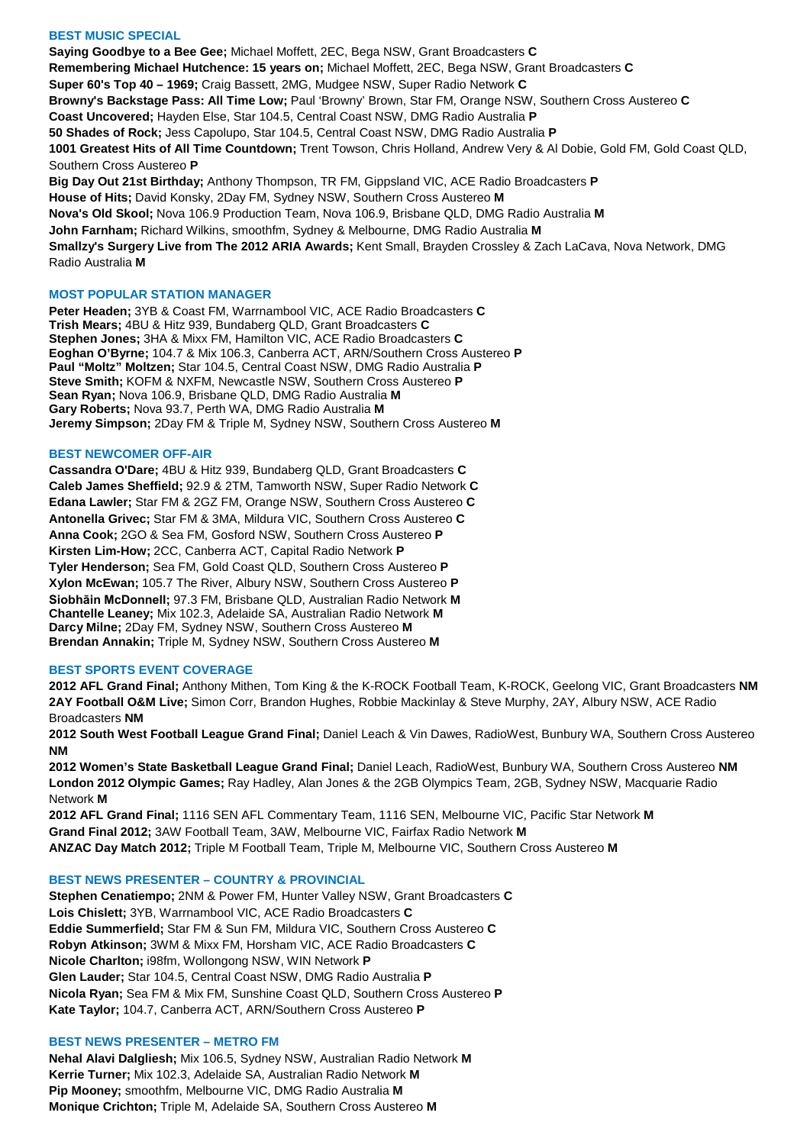## **BEST MUSIC SPECIAL**

**Saying Goodbye to a Bee Gee;** Michael Moffett, 2EC, Bega NSW, Grant Broadcasters **C Remembering Michael Hutchence: 15 years on;** Michael Moffett, 2EC, Bega NSW, Grant Broadcasters **C Super 60's Top 40 – 1969;** Craig Bassett, 2MG, Mudgee NSW, Super Radio Network **C Browny's Backstage Pass: All Time Low;** Paul 'Browny' Brown, Star FM, Orange NSW, Southern Cross Austereo **C Coast Uncovered;** Hayden Else, Star 104.5, Central Coast NSW, DMG Radio Australia **P 50 Shades of Rock;** Jess Capolupo, Star 104.5, Central Coast NSW, DMG Radio Australia **P 1001 Greatest Hits of All Time Countdown;** Trent Towson, Chris Holland, Andrew Very & Al Dobie, Gold FM, Gold Coast QLD, Southern Cross Austereo **P Big Day Out 21st Birthday;** Anthony Thompson, TR FM, Gippsland VIC, ACE Radio Broadcasters **P House of Hits;** David Konsky, 2Day FM, Sydney NSW, Southern Cross Austereo **M Nova's Old Skool;** Nova 106.9 Production Team, Nova 106.9, Brisbane QLD, DMG Radio Australia **M John Farnham;** Richard Wilkins, smoothfm, Sydney & Melbourne, DMG Radio Australia **M Smallzy's Surgery Live from The 2012 ARIA Awards;** Kent Small, Brayden Crossley & Zach LaCava, Nova Network, DMG Radio Australia **M**

## **MOST POPULAR STATION MANAGER**

**Peter Headen;** 3YB & Coast FM, Warrnambool VIC, ACE Radio Broadcasters **C Trish Mears;** 4BU & Hitz 939, Bundaberg QLD, Grant Broadcasters **C Stephen Jones;** 3HA & Mixx FM, Hamilton VIC, ACE Radio Broadcasters **C Eoghan O'Byrne;** 104.7 & Mix 106.3, Canberra ACT, ARN/Southern Cross Austereo **P Paul "Moltz" Moltzen;** Star 104.5, Central Coast NSW, DMG Radio Australia **P Steve Smith;** KOFM & NXFM, Newcastle NSW, Southern Cross Austereo **P Sean Ryan;** Nova 106.9, Brisbane QLD, DMG Radio Australia **M Gary Roberts;** Nova 93.7, Perth WA, DMG Radio Australia **M Jeremy Simpson;** 2Day FM & Triple M, Sydney NSW, Southern Cross Austereo **M**

### **BEST NEWCOMER OFF-AIR**

**Cassandra O'Dare;** 4BU & Hitz 939, Bundaberg QLD, Grant Broadcasters **C Caleb James Sheffield;** 92.9 & 2TM, Tamworth NSW, Super Radio Network **C Edana Lawler;** Star FM & 2GZ FM, Orange NSW, Southern Cross Austereo **C Antonella Grivec;** Star FM & 3MA, Mildura VIC, Southern Cross Austereo **C Anna Cook;** 2GO & Sea FM, Gosford NSW, Southern Cross Austereo **P Kirsten Lim-How;** 2CC, Canberra ACT, Capital Radio Network **P Tyler Henderson;** Sea FM, Gold Coast QLD, Southern Cross Austereo **P Xylon McEwan;** 105.7 The River, Albury NSW, Southern Cross Austereo **P Siobhāin McDonnell;** 97.3 FM, Brisbane QLD, Australian Radio Network **M Chantelle Leaney;** Mix 102.3, Adelaide SA, Australian Radio Network **M Darcy Milne;** 2Day FM, Sydney NSW, Southern Cross Austereo **M Brendan Annakin;** Triple M, Sydney NSW, Southern Cross Austereo **M**

### **BEST SPORTS EVENT COVERAGE**

**2012 AFL Grand Final;** Anthony Mithen, Tom King & the K-ROCK Football Team, K-ROCK, Geelong VIC, Grant Broadcasters **NM 2AY Football O&M Live;** Simon Corr, Brandon Hughes, Robbie Mackinlay & Steve Murphy, 2AY, Albury NSW, ACE Radio Broadcasters **NM**

**2012 South West Football League Grand Final;** Daniel Leach & Vin Dawes, RadioWest, Bunbury WA, Southern Cross Austereo **NM**

**2012 Women's State Basketball League Grand Final;** Daniel Leach, RadioWest, Bunbury WA, Southern Cross Austereo **NM London 2012 Olympic Games;** Ray Hadley, Alan Jones & the 2GB Olympics Team, 2GB, Sydney NSW, Macquarie Radio Network **M**

**2012 AFL Grand Final;** 1116 SEN AFL Commentary Team, 1116 SEN, Melbourne VIC, Pacific Star Network **M Grand Final 2012;** 3AW Football Team, 3AW, Melbourne VIC, Fairfax Radio Network **M ANZAC Day Match 2012;** Triple M Football Team, Triple M, Melbourne VIC, Southern Cross Austereo **M**

### **BEST NEWS PRESENTER – COUNTRY & PROVINCIAL**

**Stephen Cenatiempo;** 2NM & Power FM, Hunter Valley NSW, Grant Broadcasters **C Lois Chislett;** 3YB, Warrnambool VIC, ACE Radio Broadcasters **C Eddie Summerfield;** Star FM & Sun FM, Mildura VIC, Southern Cross Austereo **C Robyn Atkinson;** 3WM & Mixx FM, Horsham VIC, ACE Radio Broadcasters **C Nicole Charlton;** i98fm, Wollongong NSW, WIN Network **P Glen Lauder;** Star 104.5, Central Coast NSW, DMG Radio Australia **P Nicola Ryan;** Sea FM & Mix FM, Sunshine Coast QLD, Southern Cross Austereo **P Kate Taylor;** 104.7, Canberra ACT, ARN/Southern Cross Austereo **P**

### **BEST NEWS PRESENTER – METRO FM**

**Nehal Alavi Dalgliesh;** Mix 106.5, Sydney NSW, Australian Radio Network **M Kerrie Turner;** Mix 102.3, Adelaide SA, Australian Radio Network **M Pip Mooney;** smoothfm, Melbourne VIC, DMG Radio Australia **M Monique Crichton;** Triple M, Adelaide SA, Southern Cross Austereo **M**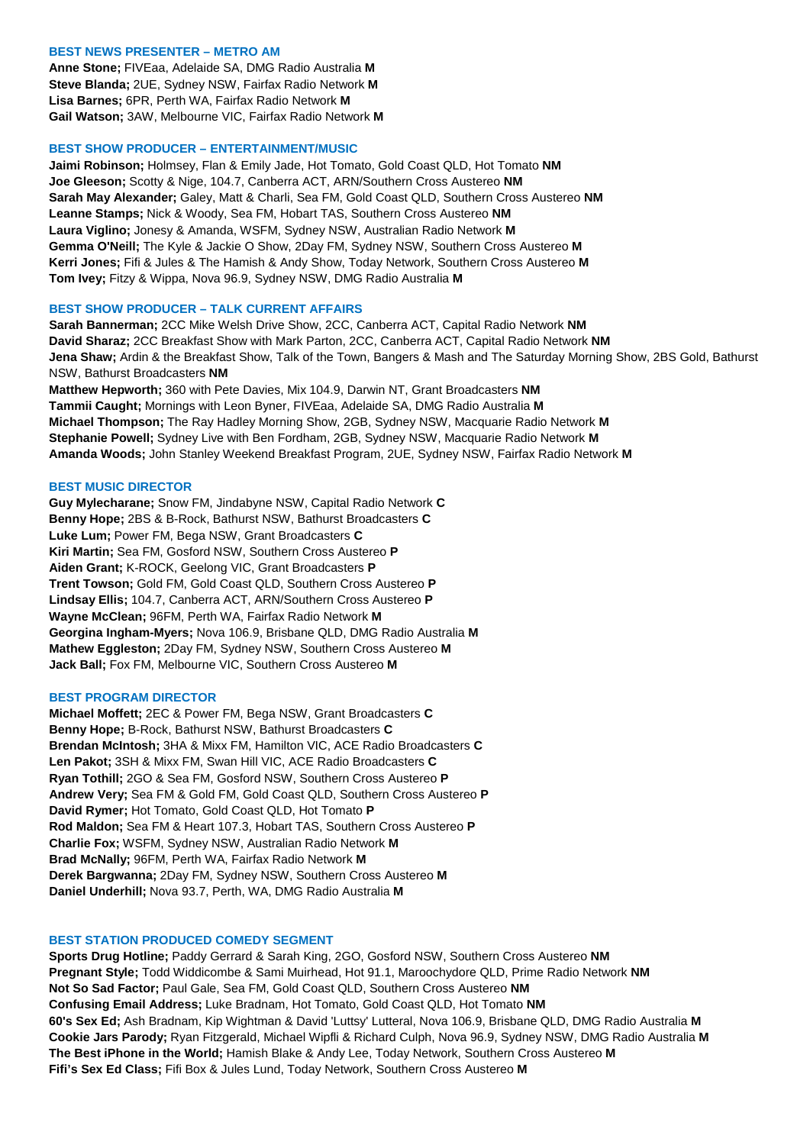# **BEST NEWS PRESENTER – METRO AM**

**Anne Stone;** FIVEaa, Adelaide SA, DMG Radio Australia **M Steve Blanda;** 2UE, Sydney NSW, Fairfax Radio Network **M Lisa Barnes;** 6PR, Perth WA, Fairfax Radio Network **M Gail Watson;** 3AW, Melbourne VIC, Fairfax Radio Network **M**

### **BEST SHOW PRODUCER – ENTERTAINMENT/MUSIC**

**Jaimi Robinson;** Holmsey, Flan & Emily Jade, Hot Tomato, Gold Coast QLD, Hot Tomato **NM Joe Gleeson;** Scotty & Nige, 104.7, Canberra ACT, ARN/Southern Cross Austereo **NM Sarah May Alexander;** Galey, Matt & Charli, Sea FM, Gold Coast QLD, Southern Cross Austereo **NM Leanne Stamps;** Nick & Woody, Sea FM, Hobart TAS, Southern Cross Austereo **NM Laura Viglino;** Jonesy & Amanda, WSFM, Sydney NSW, Australian Radio Network **M Gemma O'Neill;** The Kyle & Jackie O Show, 2Day FM, Sydney NSW, Southern Cross Austereo **M Kerri Jones;** Fifi & Jules & The Hamish & Andy Show, Today Network, Southern Cross Austereo **M Tom Ivey;** Fitzy & Wippa, Nova 96.9, Sydney NSW, DMG Radio Australia **M**

### **BEST SHOW PRODUCER – TALK CURRENT AFFAIRS**

**Sarah Bannerman;** 2CC Mike Welsh Drive Show, 2CC, Canberra ACT, Capital Radio Network **NM David Sharaz;** 2CC Breakfast Show with Mark Parton, 2CC, Canberra ACT, Capital Radio Network **NM Jena Shaw;** Ardin & the Breakfast Show, Talk of the Town, Bangers & Mash and The Saturday Morning Show, 2BS Gold, Bathurst NSW, Bathurst Broadcasters **NM**

**Matthew Hepworth;** 360 with Pete Davies, Mix 104.9, Darwin NT, Grant Broadcasters **NM Tammii Caught;** Mornings with Leon Byner, FIVEaa, Adelaide SA, DMG Radio Australia **M Michael Thompson;** The Ray Hadley Morning Show, 2GB, Sydney NSW, Macquarie Radio Network **M Stephanie Powell;** Sydney Live with Ben Fordham, 2GB, Sydney NSW, Macquarie Radio Network **M Amanda Woods;** John Stanley Weekend Breakfast Program, 2UE, Sydney NSW, Fairfax Radio Network **M**

## **BEST MUSIC DIRECTOR**

**Guy Mylecharane;** Snow FM, Jindabyne NSW, Capital Radio Network **C Benny Hope;** 2BS & B-Rock, Bathurst NSW, Bathurst Broadcasters **C Luke Lum;** Power FM, Bega NSW, Grant Broadcasters **C Kiri Martin;** Sea FM, Gosford NSW, Southern Cross Austereo **P Aiden Grant;** K-ROCK, Geelong VIC, Grant Broadcasters **P Trent Towson;** Gold FM, Gold Coast QLD, Southern Cross Austereo **P Lindsay Ellis;** 104.7, Canberra ACT, ARN/Southern Cross Austereo **P Wayne McClean;** 96FM, Perth WA, Fairfax Radio Network **M Georgina Ingham-Myers;** Nova 106.9, Brisbane QLD, DMG Radio Australia **M Mathew Eggleston;** 2Day FM, Sydney NSW, Southern Cross Austereo **M Jack Ball;** Fox FM, Melbourne VIC, Southern Cross Austereo **M**

### **BEST PROGRAM DIRECTOR**

**Michael Moffett;** 2EC & Power FM, Bega NSW, Grant Broadcasters **C Benny Hope;** B-Rock, Bathurst NSW, Bathurst Broadcasters **C Brendan McIntosh;** 3HA & Mixx FM, Hamilton VIC, ACE Radio Broadcasters **C Len Pakot;** 3SH & Mixx FM, Swan Hill VIC, ACE Radio Broadcasters **C Ryan Tothill;** 2GO & Sea FM, Gosford NSW, Southern Cross Austereo **P Andrew Very;** Sea FM & Gold FM, Gold Coast QLD, Southern Cross Austereo **P David Rymer;** Hot Tomato, Gold Coast QLD, Hot Tomato **P Rod Maldon;** Sea FM & Heart 107.3, Hobart TAS, Southern Cross Austereo **P Charlie Fox;** WSFM, Sydney NSW, Australian Radio Network **M Brad McNally;** 96FM, Perth WA, Fairfax Radio Network **M Derek Bargwanna;** 2Day FM, Sydney NSW, Southern Cross Austereo **M Daniel Underhill;** Nova 93.7, Perth, WA, DMG Radio Australia **M**

### **BEST STATION PRODUCED COMEDY SEGMENT**

**Sports Drug Hotline;** Paddy Gerrard & Sarah King, 2GO, Gosford NSW, Southern Cross Austereo **NM Pregnant Style;** Todd Widdicombe & Sami Muirhead, Hot 91.1, Maroochydore QLD, Prime Radio Network **NM Not So Sad Factor;** Paul Gale, Sea FM, Gold Coast QLD, Southern Cross Austereo **NM Confusing Email Address;** Luke Bradnam, Hot Tomato, Gold Coast QLD, Hot Tomato **NM 60's Sex Ed;** Ash Bradnam, Kip Wightman & David 'Luttsy' Lutteral, Nova 106.9, Brisbane QLD, DMG Radio Australia **M Cookie Jars Parody;** Ryan Fitzgerald, Michael Wipfli & Richard Culph, Nova 96.9, Sydney NSW, DMG Radio Australia **M The Best iPhone in the World;** Hamish Blake & Andy Lee, Today Network, Southern Cross Austereo **M Fifi's Sex Ed Class;** Fifi Box & Jules Lund, Today Network, Southern Cross Austereo **M**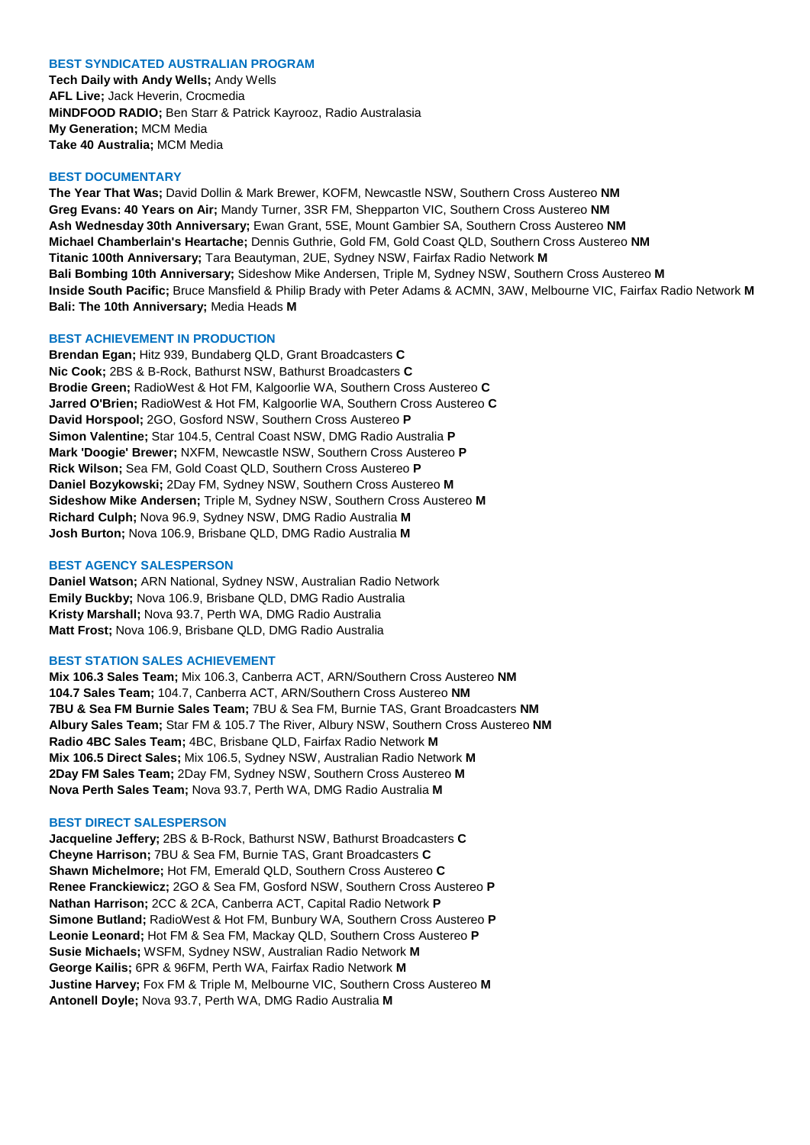### **BEST SYNDICATED AUSTRALIAN PROGRAM**

**Tech Daily with Andy Wells;** Andy Wells **AFL Live;** Jack Heverin, Crocmedia **MiNDFOOD RADIO;** Ben Starr & Patrick Kayrooz, Radio Australasia **My Generation;** MCM Media **Take 40 Australia;** MCM Media

### **BEST DOCUMENTARY**

**The Year That Was;** David Dollin & Mark Brewer, KOFM, Newcastle NSW, Southern Cross Austereo **NM Greg Evans: 40 Years on Air;** Mandy Turner, 3SR FM, Shepparton VIC, Southern Cross Austereo **NM Ash Wednesday 30th Anniversary;** Ewan Grant, 5SE, Mount Gambier SA, Southern Cross Austereo **NM Michael Chamberlain's Heartache;** Dennis Guthrie, Gold FM, Gold Coast QLD, Southern Cross Austereo **NM Titanic 100th Anniversary;** Tara Beautyman, 2UE, Sydney NSW, Fairfax Radio Network **M Bali Bombing 10th Anniversary;** Sideshow Mike Andersen, Triple M, Sydney NSW, Southern Cross Austereo **M Inside South Pacific;** Bruce Mansfield & Philip Brady with Peter Adams & ACMN, 3AW, Melbourne VIC, Fairfax Radio Network **M Bali: The 10th Anniversary;** Media Heads **M**

## **BEST ACHIEVEMENT IN PRODUCTION**

**Brendan Egan;** Hitz 939, Bundaberg QLD, Grant Broadcasters **C Nic Cook;** 2BS & B-Rock, Bathurst NSW, Bathurst Broadcasters **C Brodie Green;** RadioWest & Hot FM, Kalgoorlie WA, Southern Cross Austereo **C Jarred O'Brien;** RadioWest & Hot FM, Kalgoorlie WA, Southern Cross Austereo **C David Horspool;** 2GO, Gosford NSW, Southern Cross Austereo **P Simon Valentine;** Star 104.5, Central Coast NSW, DMG Radio Australia **P Mark 'Doogie' Brewer;** NXFM, Newcastle NSW, Southern Cross Austereo **P Rick Wilson;** Sea FM, Gold Coast QLD, Southern Cross Austereo **P Daniel Bozykowski;** 2Day FM, Sydney NSW, Southern Cross Austereo **M Sideshow Mike Andersen;** Triple M, Sydney NSW, Southern Cross Austereo **M Richard Culph;** Nova 96.9, Sydney NSW, DMG Radio Australia **M Josh Burton;** Nova 106.9, Brisbane QLD, DMG Radio Australia **M**

#### **BEST AGENCY SALESPERSON**

**Daniel Watson;** ARN National, Sydney NSW, Australian Radio Network **Emily Buckby;** Nova 106.9, Brisbane QLD, DMG Radio Australia **Kristy Marshall;** Nova 93.7, Perth WA, DMG Radio Australia **Matt Frost;** Nova 106.9, Brisbane QLD, DMG Radio Australia

## **BEST STATION SALES ACHIEVEMENT**

**Mix 106.3 Sales Team;** Mix 106.3, Canberra ACT, ARN/Southern Cross Austereo **NM 104.7 Sales Team;** 104.7, Canberra ACT, ARN/Southern Cross Austereo **NM 7BU & Sea FM Burnie Sales Team;** 7BU & Sea FM, Burnie TAS, Grant Broadcasters **NM Albury Sales Team;** Star FM & 105.7 The River, Albury NSW, Southern Cross Austereo **NM Radio 4BC Sales Team;** 4BC, Brisbane QLD, Fairfax Radio Network **M Mix 106.5 Direct Sales;** Mix 106.5, Sydney NSW, Australian Radio Network **M 2Day FM Sales Team;** 2Day FM, Sydney NSW, Southern Cross Austereo **M Nova Perth Sales Team;** Nova 93.7, Perth WA, DMG Radio Australia **M**

#### **BEST DIRECT SALESPERSON**

**Jacqueline Jeffery;** 2BS & B-Rock, Bathurst NSW, Bathurst Broadcasters **C Cheyne Harrison;** 7BU & Sea FM, Burnie TAS, Grant Broadcasters **C Shawn Michelmore;** Hot FM, Emerald QLD, Southern Cross Austereo **C Renee Franckiewicz;** 2GO & Sea FM, Gosford NSW, Southern Cross Austereo **P Nathan Harrison;** 2CC & 2CA, Canberra ACT, Capital Radio Network **P Simone Butland;** RadioWest & Hot FM, Bunbury WA, Southern Cross Austereo **P Leonie Leonard;** Hot FM & Sea FM, Mackay QLD, Southern Cross Austereo **P Susie Michaels;** WSFM, Sydney NSW, Australian Radio Network **M George Kailis;** 6PR & 96FM, Perth WA, Fairfax Radio Network **M Justine Harvey;** Fox FM & Triple M, Melbourne VIC, Southern Cross Austereo **M Antonell Doyle;** Nova 93.7, Perth WA, DMG Radio Australia **M**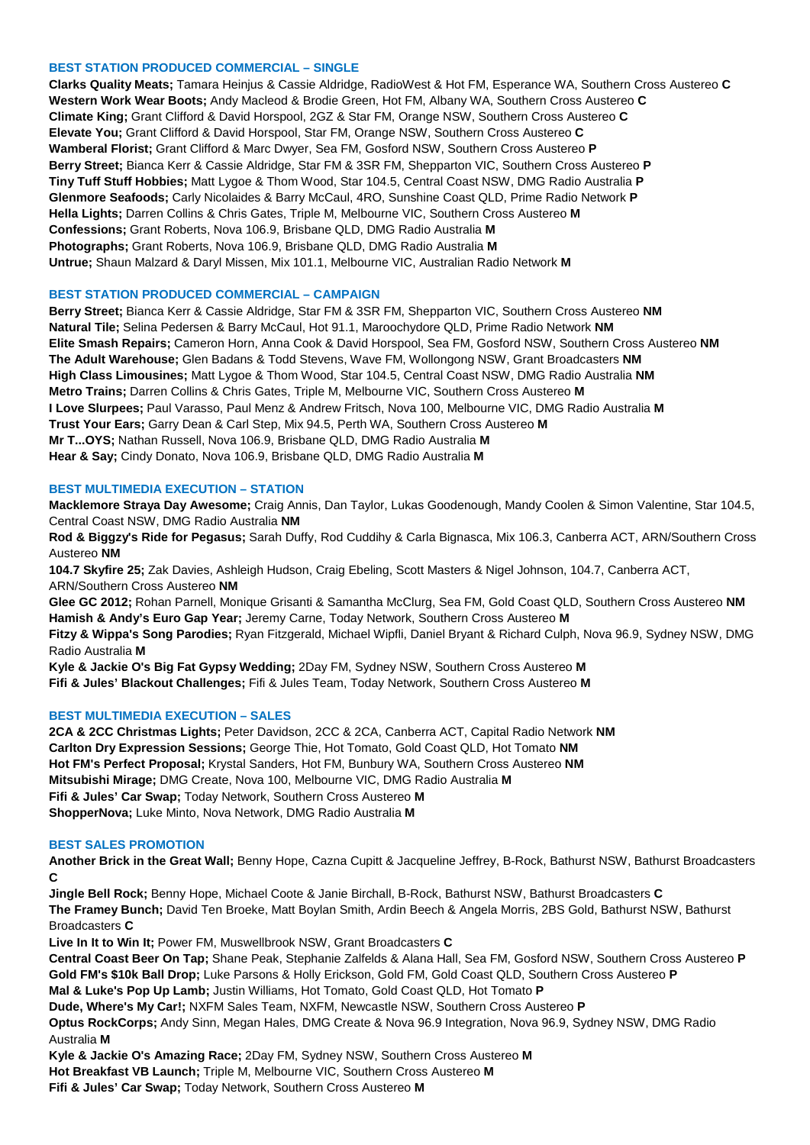## **BEST STATION PRODUCED COMMERCIAL – SINGLE**

**Clarks Quality Meats;** Tamara Heinjus & Cassie Aldridge, RadioWest & Hot FM, Esperance WA, Southern Cross Austereo **C Western Work Wear Boots;** Andy Macleod & Brodie Green, Hot FM, Albany WA, Southern Cross Austereo **C Climate King;** Grant Clifford & David Horspool, 2GZ & Star FM, Orange NSW, Southern Cross Austereo **C Elevate You;** Grant Clifford & David Horspool, Star FM, Orange NSW, Southern Cross Austereo **C Wamberal Florist;** Grant Clifford & Marc Dwyer, Sea FM, Gosford NSW, Southern Cross Austereo **P Berry Street;** Bianca Kerr & Cassie Aldridge, Star FM & 3SR FM, Shepparton VIC, Southern Cross Austereo **P Tiny Tuff Stuff Hobbies;** Matt Lygoe & Thom Wood, Star 104.5, Central Coast NSW, DMG Radio Australia **P Glenmore Seafoods;** Carly Nicolaides & Barry McCaul, 4RO, Sunshine Coast QLD, Prime Radio Network **P Hella Lights;** Darren Collins & Chris Gates, Triple M, Melbourne VIC, Southern Cross Austereo **M Confessions;** Grant Roberts, Nova 106.9, Brisbane QLD, DMG Radio Australia **M Photographs;** Grant Roberts, Nova 106.9, Brisbane QLD, DMG Radio Australia **M Untrue;** Shaun Malzard & Daryl Missen, Mix 101.1, Melbourne VIC, Australian Radio Network **M**

## **BEST STATION PRODUCED COMMERCIAL – CAMPAIGN**

**Berry Street;** Bianca Kerr & Cassie Aldridge, Star FM & 3SR FM, Shepparton VIC, Southern Cross Austereo **NM Natural Tile;** Selina Pedersen & Barry McCaul, Hot 91.1, Maroochydore QLD, Prime Radio Network **NM Elite Smash Repairs;** Cameron Horn, Anna Cook & David Horspool, Sea FM, Gosford NSW, Southern Cross Austereo **NM The Adult Warehouse;** Glen Badans & Todd Stevens, Wave FM, Wollongong NSW, Grant Broadcasters **NM High Class Limousines;** Matt Lygoe & Thom Wood, Star 104.5, Central Coast NSW, DMG Radio Australia **NM Metro Trains;** Darren Collins & Chris Gates, Triple M, Melbourne VIC, Southern Cross Austereo **M I Love Slurpees;** Paul Varasso, Paul Menz & Andrew Fritsch, Nova 100, Melbourne VIC, DMG Radio Australia **M Trust Your Ears;** Garry Dean & Carl Step, Mix 94.5, Perth WA, Southern Cross Austereo **M Mr T...OYS;** Nathan Russell, Nova 106.9, Brisbane QLD, DMG Radio Australia **M Hear & Say;** Cindy Donato, Nova 106.9, Brisbane QLD, DMG Radio Australia **M**

## **BEST MULTIMEDIA EXECUTION – STATION**

**Macklemore Straya Day Awesome;** Craig Annis, Dan Taylor, Lukas Goodenough, Mandy Coolen & Simon Valentine, Star 104.5, Central Coast NSW, DMG Radio Australia **NM**

**Rod & Biggzy's Ride for Pegasus;** Sarah Duffy, Rod Cuddihy & Carla Bignasca, Mix 106.3, Canberra ACT, ARN/Southern Cross Austereo **NM**

**104.7 Skyfire 25;** Zak Davies, Ashleigh Hudson, Craig Ebeling, Scott Masters & Nigel Johnson, 104.7, Canberra ACT, ARN/Southern Cross Austereo **NM**

**Glee GC 2012;** Rohan Parnell, Monique Grisanti & Samantha McClurg, Sea FM, Gold Coast QLD, Southern Cross Austereo **NM Hamish & Andy's Euro Gap Year;** Jeremy Carne, Today Network, Southern Cross Austereo **M**

**Fitzy & Wippa's Song Parodies;** Ryan Fitzgerald, Michael Wipfli, Daniel Bryant & Richard Culph, Nova 96.9, Sydney NSW, DMG Radio Australia **M**

**Kyle & Jackie O's Big Fat Gypsy Wedding;** 2Day FM, Sydney NSW, Southern Cross Austereo **M Fifi & Jules' Blackout Challenges;** Fifi & Jules Team, Today Network, Southern Cross Austereo **M**

### **BEST MULTIMEDIA EXECUTION – SALES**

**2CA & 2CC Christmas Lights;** Peter Davidson, 2CC & 2CA, Canberra ACT, Capital Radio Network **NM Carlton Dry Expression Sessions;** George Thie, Hot Tomato, Gold Coast QLD, Hot Tomato **NM Hot FM's Perfect Proposal;** Krystal Sanders, Hot FM, Bunbury WA, Southern Cross Austereo **NM Mitsubishi Mirage;** DMG Create, Nova 100, Melbourne VIC, DMG Radio Australia **M Fifi & Jules' Car Swap;** Today Network, Southern Cross Austereo **M ShopperNova;** Luke Minto, Nova Network, DMG Radio Australia **M**

### **BEST SALES PROMOTION**

**Another Brick in the Great Wall;** Benny Hope, Cazna Cupitt & Jacqueline Jeffrey, B-Rock, Bathurst NSW, Bathurst Broadcasters **C**

**Jingle Bell Rock;** Benny Hope, Michael Coote & Janie Birchall, B-Rock, Bathurst NSW, Bathurst Broadcasters **C The Framey Bunch;** David Ten Broeke, Matt Boylan Smith, Ardin Beech & Angela Morris, 2BS Gold, Bathurst NSW, Bathurst Broadcasters **C**

**Live In It to Win It;** Power FM, Muswellbrook NSW, Grant Broadcasters **C**

**Central Coast Beer On Tap;** Shane Peak, Stephanie Zalfelds & Alana Hall, Sea FM, Gosford NSW, Southern Cross Austereo **P Gold FM's \$10k Ball Drop;** Luke Parsons & Holly Erickson, Gold FM, Gold Coast QLD, Southern Cross Austereo **P Mal & Luke's Pop Up Lamb;** Justin Williams, Hot Tomato, Gold Coast QLD, Hot Tomato **P**

**Dude, Where's My Car!;** NXFM Sales Team, NXFM, Newcastle NSW, Southern Cross Austereo **P**

**Optus RockCorps;** Andy Sinn, Megan Hales, DMG Create & Nova 96.9 Integration, Nova 96.9, Sydney NSW, DMG Radio Australia **M**

**Kyle & Jackie O's Amazing Race;** 2Day FM, Sydney NSW, Southern Cross Austereo **M**

**Hot Breakfast VB Launch;** Triple M, Melbourne VIC, Southern Cross Austereo **M**

**Fifi & Jules' Car Swap;** Today Network, Southern Cross Austereo **M**